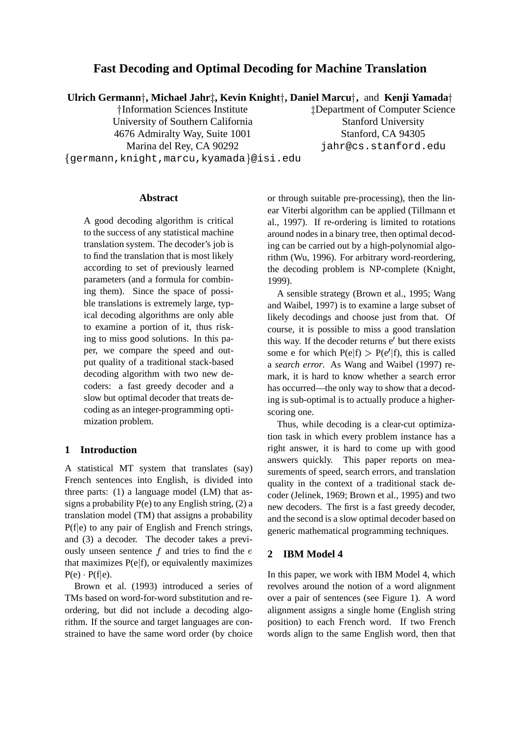# **Fast Decoding and Optimal Decoding for Machine Translation**

**Ulrich Germann , Michael Jahr, Kevin Knight , Daniel Marcu ,** and **Kenji Yamada**

†Information Sciences Institute University of Southern California Stanford University 4676 Admiralty Way, Suite 1001 Stanford, CA 94305

- germann,knight,marcu,kyamada @isi.edu

<sup>t</sup>Department of Computer Science Marina del Rey, CA 90292 jahr@cs.stanford.edu

#### **Abstract**

A good decoding algorithm is critical to the success of any statistical machine translation system. The decoder's job is to find the translation that is most likely according to set of previously learned parameters (and a formula for combining them). Since the space of possible translations is extremely large, typical decoding algorithms are only able to examine a portion of it, thus risking to miss good solutions. In this paper, we compare the speed and output quality of a traditional stack-based decoding algorithm with two new decoders: a fast greedy decoder and a slow but optimal decoder that treats decoding as an integer-programming optimization problem.

### **1 Introduction**

A statistical MT system that translates (say) French sentences into English, is divided into three parts: (1) a language model (LM) that assigns a probability  $P(e)$  to any English string,  $(2)$  a translation model (TM) that assigns a probability  $P(f|e)$  to any pair of English and French strings, and (3) a decoder. The decoder takes a previously unseen sentence  $f$  and tries to find the  $e \quad 2$ that maximizes  $P(e|f)$ , or equivalently maximizes  $P(e)$   $P(f|e)$ .

Brown et al. (1993) introduced a series of TMs based on word-for-word substitution and reordering, but did not include a decoding algorithm. If the source and target languages are constrained to have the same word order (by choice

or through suitable pre-processing), then the linear Viterbi algorithm can be applied (Tillmann et al., 1997). If re-ordering is limited to rotations around nodes in a binary tree, then optimal decoding can be carried out by a high-polynomial algorithm (Wu, 1996). For arbitrary word-reordering, the decoding problem is NP-complete (Knight, 1999).

A sensible strategy (Brown et al., 1995; Wang and Waibel, 1997) is to examine a large subset of likely decodings and choose just from that. Of course, it is possible to miss a good translation this way. If the decoder returns  $e'$  but there exists some e for which  $P(e|f) > P(e'|f)$ , this is called a *search error*. As Wang and Waibel (1997) remark, it is hard to know whether a search error has occurred—the only way to show that a decoding is sub-optimal is to actually produce a higherscoring one.

Thus, while decoding is a clear-cut optimization task in which every problem instance has a right answer, it is hard to come up with good answers quickly. This paper reports on measurements of speed, search errors, and translation quality in the context of a traditional stack decoder (Jelinek, 1969; Brown et al., 1995) and two new decoders. The first is a fast greedy decoder, and the second is a slow optimal decoder based on generic mathematical programming techniques.

### **2 IBM Model 4**

In this paper, we work with IBM Model 4, which revolves around the notion of a word alignment over a pair of sentences (see Figure 1). A word alignment assigns a single home (English string position) to each French word. If two French words align to the same English word, then that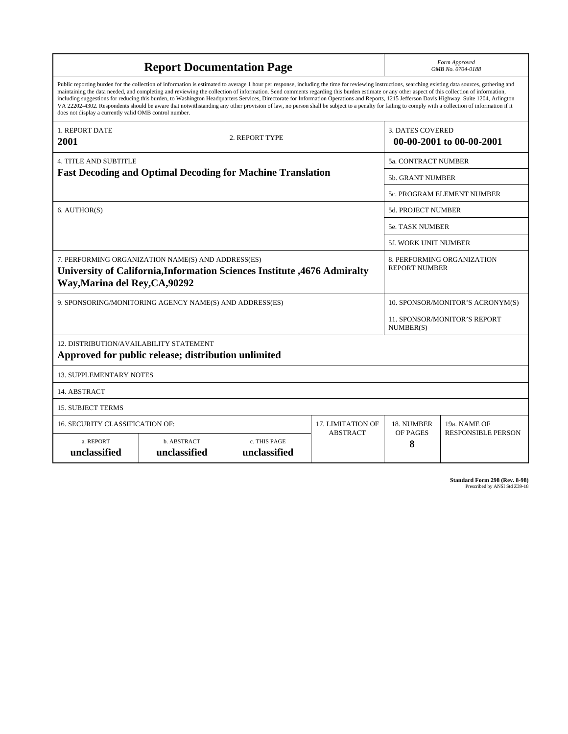| <b>Report Documentation Page</b>                                                                                                                                                                                                                                                                                                                                                                                                                                                                                                                                                                                                                                                                                                                                                                                                                                   |                                                         |                              |                                  |                                                     | Form Approved<br>OMB No. 0704-0188               |  |  |
|--------------------------------------------------------------------------------------------------------------------------------------------------------------------------------------------------------------------------------------------------------------------------------------------------------------------------------------------------------------------------------------------------------------------------------------------------------------------------------------------------------------------------------------------------------------------------------------------------------------------------------------------------------------------------------------------------------------------------------------------------------------------------------------------------------------------------------------------------------------------|---------------------------------------------------------|------------------------------|----------------------------------|-----------------------------------------------------|--------------------------------------------------|--|--|
| Public reporting burden for the collection of information is estimated to average 1 hour per response, including the time for reviewing instructions, searching existing data sources, gathering and<br>maintaining the data needed, and completing and reviewing the collection of information. Send comments regarding this burden estimate or any other aspect of this collection of information,<br>including suggestions for reducing this burden, to Washington Headquarters Services, Directorate for Information Operations and Reports, 1215 Jefferson Davis Highway, Suite 1204, Arlington<br>VA 22202-4302. Respondents should be aware that notwithstanding any other provision of law, no person shall be subject to a penalty for failing to comply with a collection of information if it<br>does not display a currently valid OMB control number. |                                                         |                              |                                  |                                                     |                                                  |  |  |
| <b>1. REPORT DATE</b><br>2001                                                                                                                                                                                                                                                                                                                                                                                                                                                                                                                                                                                                                                                                                                                                                                                                                                      |                                                         | 2. REPORT TYPE               |                                  | <b>3. DATES COVERED</b><br>00-00-2001 to 00-00-2001 |                                                  |  |  |
| <b>4. TITLE AND SUBTITLE</b><br><b>Fast Decoding and Optimal Decoding for Machine Translation</b>                                                                                                                                                                                                                                                                                                                                                                                                                                                                                                                                                                                                                                                                                                                                                                  |                                                         |                              |                                  | 5a. CONTRACT NUMBER                                 |                                                  |  |  |
|                                                                                                                                                                                                                                                                                                                                                                                                                                                                                                                                                                                                                                                                                                                                                                                                                                                                    |                                                         |                              |                                  | <b>5b. GRANT NUMBER</b>                             |                                                  |  |  |
|                                                                                                                                                                                                                                                                                                                                                                                                                                                                                                                                                                                                                                                                                                                                                                                                                                                                    |                                                         |                              |                                  |                                                     | 5c. PROGRAM ELEMENT NUMBER                       |  |  |
| 6. AUTHOR(S)                                                                                                                                                                                                                                                                                                                                                                                                                                                                                                                                                                                                                                                                                                                                                                                                                                                       |                                                         |                              | <b>5d. PROJECT NUMBER</b>        |                                                     |                                                  |  |  |
|                                                                                                                                                                                                                                                                                                                                                                                                                                                                                                                                                                                                                                                                                                                                                                                                                                                                    |                                                         |                              |                                  | <b>5e. TASK NUMBER</b>                              |                                                  |  |  |
|                                                                                                                                                                                                                                                                                                                                                                                                                                                                                                                                                                                                                                                                                                                                                                                                                                                                    |                                                         |                              |                                  |                                                     | <b>5f. WORK UNIT NUMBER</b>                      |  |  |
| 7. PERFORMING ORGANIZATION NAME(S) AND ADDRESS(ES)<br>8. PERFORMING ORGANIZATION<br><b>REPORT NUMBER</b><br>University of California, Information Sciences Institute , 4676 Admiralty<br>Way, Marina del Rey, CA, 90292                                                                                                                                                                                                                                                                                                                                                                                                                                                                                                                                                                                                                                            |                                                         |                              |                                  |                                                     |                                                  |  |  |
|                                                                                                                                                                                                                                                                                                                                                                                                                                                                                                                                                                                                                                                                                                                                                                                                                                                                    | 9. SPONSORING/MONITORING AGENCY NAME(S) AND ADDRESS(ES) |                              | 10. SPONSOR/MONITOR'S ACRONYM(S) |                                                     |                                                  |  |  |
|                                                                                                                                                                                                                                                                                                                                                                                                                                                                                                                                                                                                                                                                                                                                                                                                                                                                    |                                                         |                              |                                  |                                                     | <b>11. SPONSOR/MONITOR'S REPORT</b><br>NUMBER(S) |  |  |
| 12. DISTRIBUTION/AVAILABILITY STATEMENT<br>Approved for public release; distribution unlimited                                                                                                                                                                                                                                                                                                                                                                                                                                                                                                                                                                                                                                                                                                                                                                     |                                                         |                              |                                  |                                                     |                                                  |  |  |
| <b>13. SUPPLEMENTARY NOTES</b>                                                                                                                                                                                                                                                                                                                                                                                                                                                                                                                                                                                                                                                                                                                                                                                                                                     |                                                         |                              |                                  |                                                     |                                                  |  |  |
| 14. ABSTRACT                                                                                                                                                                                                                                                                                                                                                                                                                                                                                                                                                                                                                                                                                                                                                                                                                                                       |                                                         |                              |                                  |                                                     |                                                  |  |  |
| <b>15. SUBJECT TERMS</b>                                                                                                                                                                                                                                                                                                                                                                                                                                                                                                                                                                                                                                                                                                                                                                                                                                           |                                                         |                              |                                  |                                                     |                                                  |  |  |
| 16. SECURITY CLASSIFICATION OF:<br><b>17. LIMITATION OF</b>                                                                                                                                                                                                                                                                                                                                                                                                                                                                                                                                                                                                                                                                                                                                                                                                        |                                                         |                              |                                  | 18. NUMBER                                          | 19a. NAME OF                                     |  |  |
| a. REPORT<br>unclassified                                                                                                                                                                                                                                                                                                                                                                                                                                                                                                                                                                                                                                                                                                                                                                                                                                          | b. ABSTRACT<br>unclassified                             | c. THIS PAGE<br>unclassified | <b>ABSTRACT</b>                  | OF PAGES<br>8                                       | <b>RESPONSIBLE PERSON</b>                        |  |  |

**Standard Form 298 (Rev. 8-98)**<br>Prescribed by ANSI Std Z39-18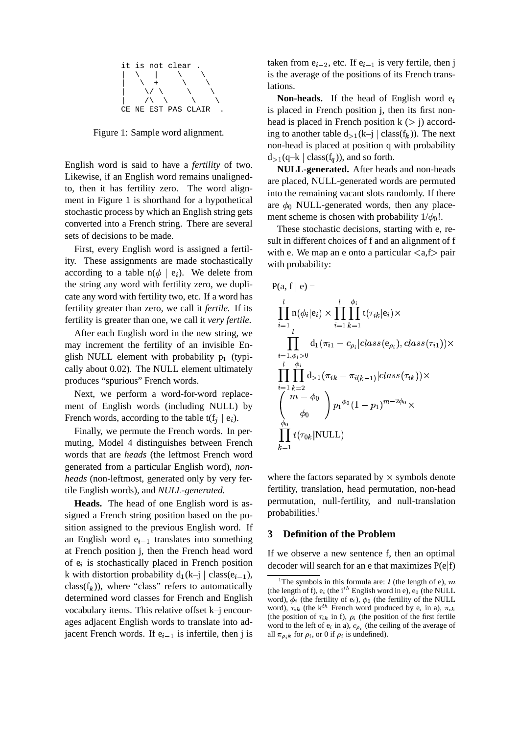

Figure 1: Sample word alignment.

English word is said to have a *fertility* of two. Likewise, if an English word remains unalignedto, then it has fertility zero. The word alignment in Figure 1 is shorthand for a hypothetical stochastic process by which an English string gets converted into a French string. There are several sets of decisions to be made.

First, every English word is assigned a fertility. These assignments are made stochastically according to a table  $n(\phi \mid e_i)$ . We delete from the string any word with fertility zero, we duplicate any word with fertility two, etc. If a word has fertility greater than zero, we call it *fertile*. If its fertility is greater than one, we call it *very fertile*.

After each English word in the new string, we may increment the fertility of an invisible English NULL element with probability  $p_1$  (typically about 0.02). The NULL element ultimately produces "spurious" French words.

Next, we perform a word-for-word replacement of English words (including NULL) by French words, according to the table  $t(f_i | e_i)$ .

Finally, we permute the French words. In permuting, Model 4 distinguishes between French words that are *heads* (the leftmost French word generated from a particular English word), *nonheads* (non-leftmost, generated only by very fertile English words), and *NULL-generated*.

**Heads.** The head of one English word is assigned a French string position based on the position assigned to the previous English word. If an English word  $e_{i-1}$  translates into something at French position j, then the French head word of  $e_i$  is stochastically placed in French position k with distortion probability  $d_1(k-j \mid class(e_{i-1}),$  $class(f_k)$ , where "class" refers to automatically determined word classes for French and English vocabulary items. This relative offset k–j encourages adjacent English words to translate into adjacent French words. If  $e_{i-1}$  is infertile, then j is

taken from  $e_{i-2}$ , etc. If  $e_{i-1}$  is very fertile, then j is the average of the positions of its French translations.

**Non-heads.** If the head of English word  $e_i$ is placed in French position j, then its first nonhead is placed in French position  $k$  ( $>$  j) according to another table  $d_{>1}(k-j \mid class(f_k))$ . The next non-head is placed at position q with probability  $d_{>1}(q-k \mid class(f_a))$ , and so forth.

**NULL-generated.** After heads and non-heads are placed, NULL-generated words are permuted into the remaining vacant slots randomly. If there are  $\phi_0$  NULL-generated words, then any placement scheme is chosen with probability  $1/\phi_0!$ .

These stochastic decisions, starting with e, result in different choices of f and an alignment of f with e. We map an e onto a particular  $\langle a,f \rangle$  pair with probability:

$$
P(a, f | e) =
$$
\n
$$
\prod_{i=1}^{l} n(\phi_i | e_i) \times \prod_{i=1}^{l} \prod_{k=1}^{\phi_i} t(\tau_{ik} | e_i) \times
$$
\n
$$
\prod_{i=1, \phi_i > 0}^{l} d_1(\pi_{i1} - c_{\rho_i} | class(e_{\rho_i}), class(\tau_{i1})) \times
$$
\n
$$
\prod_{i=1}^{l} \prod_{k=2}^{\phi_i} d_{>1}(\pi_{ik} - \pi_{i(k-1)} | class(\tau_{ik})) \times
$$
\n
$$
\begin{pmatrix} m - \phi_0 \\ \phi_0 \end{pmatrix} p_1^{\phi_0} (1 - p_1)^{m - 2\phi_0} \times
$$
\n
$$
\prod_{k=1}^{\phi_0} t(\tau_{0k} | \text{NULL})
$$

where the factors separated by  $\times$  symbols denote fertility, translation, head permutation, non-head permutation, null-fertility, and null-translation probabilities. $1$ 

## **3 Definition of the Problem**

If we observe a new sentence f, then an optimal decoder will search for an e that maximizes  $P(e|f)$ 

<sup>&</sup>lt;sup>1</sup>The symbols in this formula are:  $l$  (the length of e),  $m$ (the length of f),  $e_i$  (the i<sup>th</sup> English word in e),  $e_0$  (the NULL word),  $\phi_i$  (the fertility of  $e_i$ ),  $\phi_0$  (the fertility of the NULL word),  $\tau_{ik}$  (the k<sup>th</sup> French word produced by e<sub>i</sub> in a),  $\pi_{ik}$ (the position of  $\tau_{ik}$  in f),  $\rho_i$  (the position of the first fertile word to the left of  $e_i$  in a),  $c_{\rho_i}$  (the ceiling of the average of all  $\pi_{\rho_i k}$  for  $\rho_i$ , or 0 if  $\rho_i$  is undefined).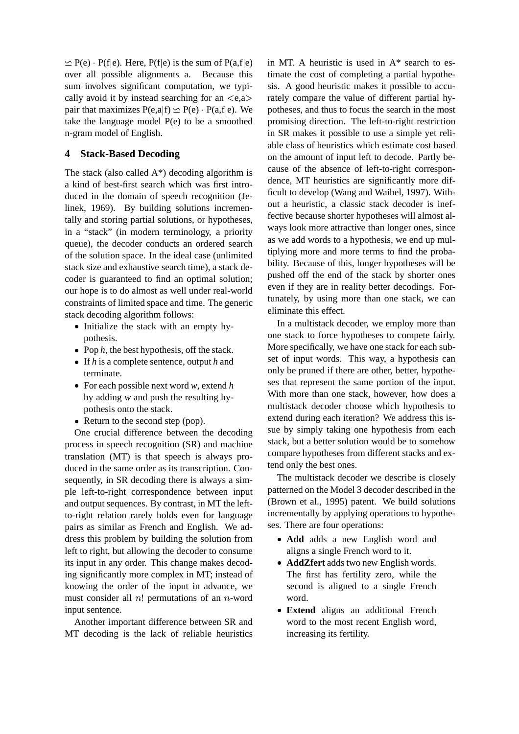$\leq$  P(e) · P(f|e). Here, P(f|e) is the sum of P(a,f|e) over all possible alignments a. Because this sum involves significant computation, we typically avoid it by instead searching for an  $\langle e, a \rangle$ pair that maximizes  $P(e, a|f) \simeq P(e) \cdot P(a, f|e)$ . We take the language model P(e) to be a smoothed n-gram model of English.

# **4 Stack-Based Decoding**

The stack (also called  $A^*$ ) decoding algorithm is a kind of best-first search which was first introduced in the domain of speech recognition (Jelinek, 1969). By building solutions incrementally and storing partial solutions, or hypotheses, in a "stack" (in modern terminology, a priority queue), the decoder conducts an ordered search of the solution space. In the ideal case (unlimited stack size and exhaustive search time), a stack decoder is guaranteed to find an optimal solution; our hope is to do almost as well under real-world constraints of limited space and time. The generic stack decoding algorithm follows:

- Initialize the stack with an empty hypothesis.
- Pop  $h$ , the best hypothesis, off the stack.
- If *h* is a complete sentence, output *h* and terminate.
- For each possible next word *w*, extend *h* by adding *w* and push the resulting hypothesis onto the stack.
- Return to the second step (pop).

One crucial difference between the decoding process in speech recognition (SR) and machine translation (MT) is that speech is always produced in the same order as its transcription. Consequently, in SR decoding there is always a simple left-to-right correspondence between input and output sequences. By contrast, in MT the leftto-right relation rarely holds even for language pairs as similar as French and English. We address this problem by building the solution from left to right, but allowing the decoder to consume its input in any order. This change makes decoding significantly more complex in MT; instead of knowing the order of the input in advance, we must consider all  $n!$  permutations of an  $n$ -word input sentence.

Another important difference between SR and MT decoding is the lack of reliable heuristics

in MT. A heuristic is used in A\* search to estimate the cost of completing a partial hypothesis. A good heuristic makes it possible to accurately compare the value of different partial hypotheses, and thus to focus the search in the most promising direction. The left-to-right restriction in SR makes it possible to use a simple yet reliable class of heuristics which estimate cost based on the amount of input left to decode. Partly because of the absence of left-to-right correspondence, MT heuristics are significantly more difficult to develop (Wang and Waibel, 1997). Without a heuristic, a classic stack decoder is ineffective because shorter hypotheses will almost always look more attractive than longer ones, since as we add words to a hypothesis, we end up multiplying more and more terms to find the probability. Because of this, longer hypotheses will be pushed off the end of the stack by shorter ones even if they are in reality better decodings. Fortunately, by using more than one stack, we can eliminate this effect.

In a multistack decoder, we employ more than one stack to force hypotheses to compete fairly. More specifically, we have one stack for each subset of input words. This way, a hypothesis can only be pruned if there are other, better, hypotheses that represent the same portion of the input. With more than one stack, however, how does a multistack decoder choose which hypothesis to extend during each iteration? We address this issue by simply taking one hypothesis from each stack, but a better solution would be to somehow compare hypotheses from different stacks and extend only the best ones.

The multistack decoder we describe is closely patterned on the Model 3 decoder described in the (Brown et al., 1995) patent. We build solutions incrementally by applying operations to hypotheses. There are four operations:

- Add adds a new English word and aligns a single French word to it.
- **AddZfert** adds two new English words. The first has fertility zero, while the second is aligned to a single French word.
- **Extend** aligns an additional French word to the most recent English word, increasing its fertility.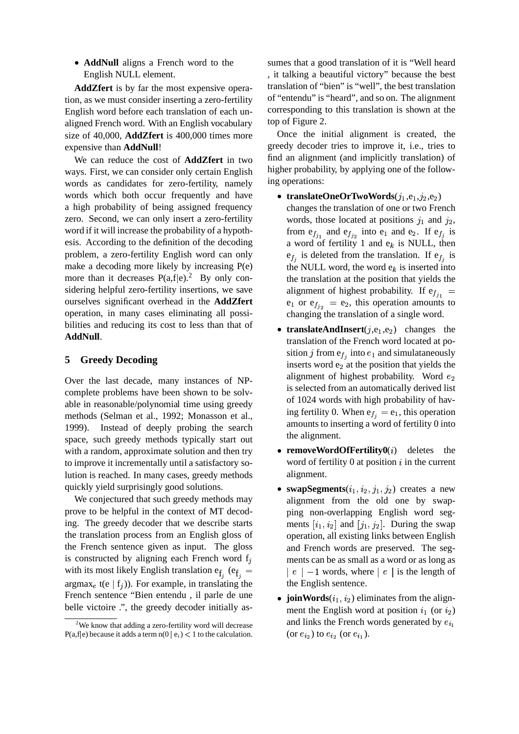• AddNull aligns a French word to the English NULL element.

**AddZfert** is by far the most expensive operation, as we must consider inserting a zero-fertility English word before each translation of each unaligned French word. With an English vocabulary size of 40,000, **AddZfert** is 400,000 times more expensive than **AddNull**!

We can reduce the cost of **AddZfert** in two ways. First, we can consider only certain English words as candidates for zero-fertility, namely words which both occur frequently and have a high probability of being assigned frequency zero. Second, we can only insert a zero-fertility word if it will increase the probability of a hypothesis. According to the definition of the decoding problem, a zero-fertility English word can only make a decoding more likely by increasing P(e) more than it decreases  $P(a,f|e)$ .<sup>2</sup> By only considering helpful zero-fertility insertions, we save ourselves significant overhead in the **AddZfert** operation, in many cases eliminating all possibilities and reducing its cost to less than that of **AddNull**.

# **5 Greedy Decoding**

Over the last decade, many instances of NPcomplete problems have been shown to be solvable in reasonable/polynomial time using greedy methods (Selman et al., 1992; Monasson et al., 1999). Instead of deeply probing the search space, such greedy methods typically start out with a random, approximate solution and then try to improve it incrementally until a satisfactory solution is reached. In many cases, greedy methods quickly yield surprisingly good solutions.

We conjectured that such greedy methods may prove to be helpful in the context of MT decoding. The greedy decoder that we describe starts the translation process from an English gloss of the French sentence given as input. The gloss is constructed by aligning each French word  $f_i$ with its most likely English translation  $e_{f_j}$  ( $e_{f_j}$  =  $\qquad$  |  $e$  |  $\cdot$ argmax<sub>e</sub> t(e  $\mid f_i$ )). For example, in translating the French sentence "Bien entendu , il parle de une belle victoire .", the greedy decoder initially as-

sumes that a good translation of it is "Well heard , it talking a beautiful victory" because the best translation of "bien" is "well", the best translation of "entendu" is "heard", and so on. The alignment corresponding to this translation is shown at the top of Figure 2.

Once the initial alignment is created, the greedy decoder tries to improve it, i.e., tries to find an alignment (and implicitly translation) of higher probability, by applying one of the following operations:

- translateOneOrTwoWords $(j_1, e_1, j_2, e_2)$ changes the translation of one or two French words, those located at positions  $j_1$  and  $j_2$ , from  $e_{f_{i_1}}$  and  $e_{f_{i_2}}$  into  $e_1$  and  $e_2$ . If  $e_{f_i}$  is a word of fertility 1 and  $e_k$  is NULL, then  $e_{f_i}$  is deleted from the translation. If  $e_{f_i}$  is the NULL word, the word  $e_k$  is inserted into the translation at the position that yields the alignment of highest probability. If  $e_{f_{i_1}} =$  $e_1$  or  $e_{f_{i_2}} = e_2$ , this operation amounts to changing the translation of a single word.
- **translateAndInsert** $(j, e_1, e_2)$  changes the translation of the French word located at position j from  $e_i$  into  $e_1$  and simulataneously inserts word  $e_2$  at the position that yields the alignment of highest probability. Word  $e_2$ is selected from an automatically derived list of 1024 words with high probability of having fertility 0. When  $e_{f_i} = e_1$ , this operation amounts to inserting a word of fertility 0 into the alignment.
- **removeWordOfFertility0**(i) deletes the word of fertility  $0$  at position  $i$  in the current alignment.
- swapSegments $(i_1, i_2, j_1, j_2)$  creates a new alignment from the old one by swapping non-overlapping English word segments  $[i_1, i_2]$  and  $[j_1, j_2]$ . During the swap operation, all existing links between English and French words are preserved. The segments can be as small as a word or as long as  $\mid e \mid -1$  words, where  $\mid e \mid$  is the length of the English sentence.
- **joinWords** $(i_1, i_2)$  eliminates from the alignment the English word at position  $i_1$  (or  $i_2$ ) and links the French words generated by  $e_{i_1}$ (or  $e_{i_2}$ ) to  $e_{i_2}$  (or  $e_{i_1}$ ).

 $2$ We know that adding a zero-fertility word will decrease  $P(a,f|e)$  because it adds a term  $n(0 | e_i) < 1$  to the calculation.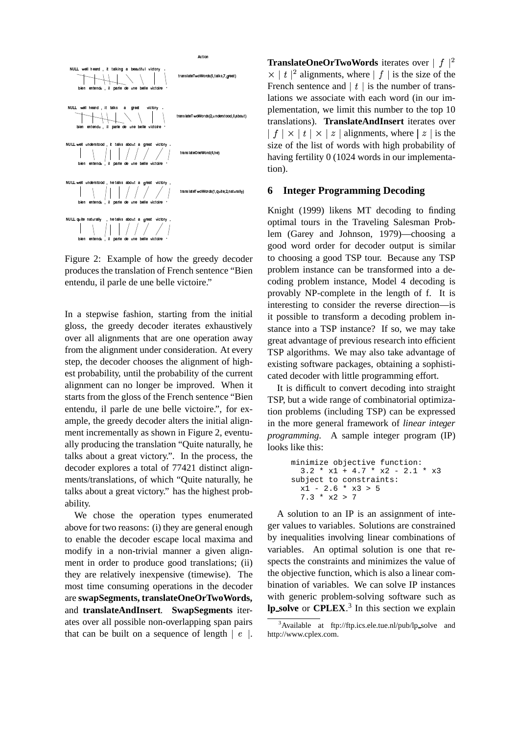

Figure 2: Example of how the greedy decoder produces the translation of French sentence "Bien entendu, il parle de une belle victoire."

In a stepwise fashion, starting from the initial gloss, the greedy decoder iterates exhaustively over all alignments that are one operation away from the alignment under consideration. At every step, the decoder chooses the alignment of highest probability, until the probability of the current alignment can no longer be improved. When it starts from the gloss of the French sentence "Bien entendu, il parle de une belle victoire.", for example, the greedy decoder alters the initial alignment incrementally as shown in Figure 2, eventually producing the translation "Quite naturally, he talks about a great victory.". In the process, the decoder explores a total of 77421 distinct alignments/translations, of which "Quite naturally, he talks about a great victory." has the highest probability.

We chose the operation types enumerated above for two reasons: (i) they are general enough to enable the decoder escape local maxima and modify in a non-trivial manner a given alignment in order to produce good translations; (ii) they are relatively inexpensive (timewise). The most time consuming operations in the decoder are **swapSegments, translateOneOrTwoWords,** and **translateAndInsert**. **SwapSegments** iterates over all possible non-overlapping span pairs that can be built on a sequence of length  $\mid e \mid$ .

**TranslateOneOrTwoWords** iterates over  $|f|^2$  $\times |t|^2$  alignments, where  $|f|$  is the size of the French sentence and  $\mid t \mid$  is the number of translations we associate with each word (in our implementation, we limit this number to the top 10 translations). **TranslateAndInsert** iterates over  $\vert f \vert \times \vert t \vert \times \vert z \vert$  alignments, where  $\vert z \vert$  is the size of the list of words with high probability of having fertility 0 (1024 words in our implementation).

### **6 Integer Programming Decoding**

Knight (1999) likens MT decoding to finding optimal tours in the Traveling Salesman Problem (Garey and Johnson, 1979)—choosing a good word order for decoder output is similar to choosing a good TSP tour. Because any TSP problem instance can be transformed into a decoding problem instance, Model 4 decoding is provably NP-complete in the length of f. It is interesting to consider the reverse direction—is it possible to transform a decoding problem instance into a TSP instance? If so, we may take great advantage of previous research into efficient TSP algorithms. We may also take advantage of existing software packages, obtaining a sophisticated decoder with little programming effort.

It is difficult to convert decoding into straight TSP, but a wide range of combinatorial optimization problems (including TSP) can be expressed in the more general framework of *linear integer programming*. A sample integer program (IP) looks like this:

minimize objective function:  
\n
$$
3.2 * x1 + 4.7 * x2 - 2.1 * x3
$$
  
\nsubject to constraints:  
\n $x1 - 2.6 * x3 > 5$   
\n $7.3 * x2 > 7$ 

A solution to an IP is an assignment of integer values to variables. Solutions are constrained by inequalities involving linear combinations of variables. An optimal solution is one that respects the constraints and minimizes the value of the objective function, which is also a linear combination of variables. We can solve IP instances with generic problem-solving software such as **lp solve** or **CPLEX**. 3 In this section we explain

<sup>&</sup>lt;sup>3</sup>Available at ftp://ftp.ics.ele.tue.nl/pub/lp\_solve and http://www.cplex.com.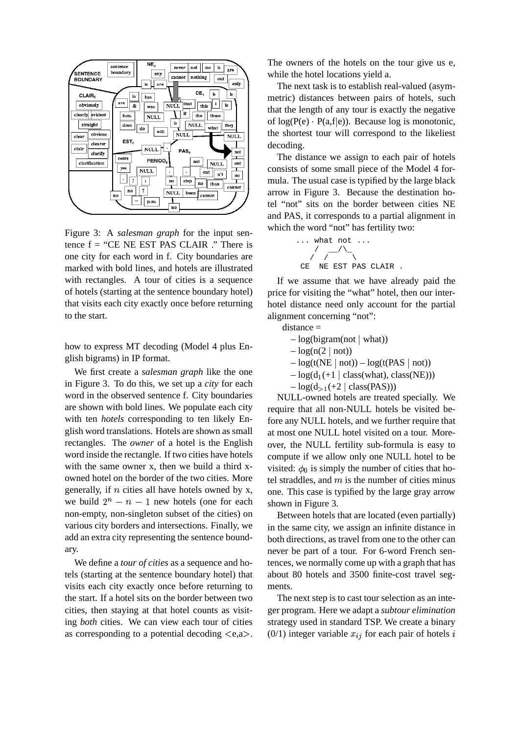

Figure 3: A *salesman graph* for the input sentence  $f = "CE NE EST PAS CLAIR." There is$ one city for each word in f. City boundaries are marked with bold lines, and hotels are illustrated with rectangles. A tour of cities is a sequence of hotels (starting at the sentence boundary hotel) that visits each city exactly once before returning to the start.

how to express MT decoding (Model 4 plus English bigrams) in IP format.

We first create a *salesman graph* like the one in Figure 3. To do this, we set up a *city* for each word in the observed sentence f. City boundaries are shown with bold lines. We populate each city with ten *hotels* corresponding to ten likely English word translations. Hotels are shown as small rectangles. The *owner* of a hotel is the English word inside the rectangle. If two cities have hotels with the same owner x, then we build a third xowned hotel on the border of the two cities. More generally, if  $n$  cities all have hotels owned by x, we build  $2^n - n - 1$  new hotels (one for each non-empty, non-singleton subset of the cities) on various city borders and intersections. Finally, we add an extra city representing the sentence boundary.

We define a *tour of cities* as a sequence and hotels (starting at the sentence boundary hotel) that visits each city exactly once before returning to the start. If a hotel sits on the border between two cities, then staying at that hotel counts as visiting *both* cities. We can view each tour of cities as corresponding to a potential decoding  $\langle e, a \rangle$ . The owners of the hotels on the tour give us e, while the hotel locations yield a.

The next task is to establish real-valued (asymmetric) distances between pairs of hotels, such that the length of any tour is exactly the negative of  $log(P(e) \cdot P(a,f|e))$ . Because log is monotonic, the shortest tour will correspond to the likeliest decoding.

The distance we assign to each pair of hotels consists of some small piece of the Model 4 formula. The usual case is typified by the large black arrow in Figure 3. Because the destination hotel "not" sits on the border between cities NE and PAS, it corresponds to a partial alignment in which the word "not" has fertility two:



If we assume that we have already paid the price for visiting the "what" hotel, then our interhotel distance need only account for the partial alignment concerning "not":

distance =

- $-\log(bigram(not | what))$
- $-\log(n(2 \mid not))$
- $-\log(t(NE \mid not)) \log(t(PAS \mid not))$
- $-\log(d_1(+1 \mid class(what), class(NE)))$
- $-\log(d_{>1}(+2 \mid class(PAS)))$

NULL-owned hotels are treated specially. We require that all non-NULL hotels be visited before any NULL hotels, and we further require that at most one NULL hotel visited on a tour. Moreover, the NULL fertility sub-formula is easy to compute if we allow only one NULL hotel to be visited:  $\phi_0$  is simply the number of cities that hotel straddles, and  $m$  is the number of cities minus one. This case is typified by the large gray arrow shown in Figure 3.

Between hotels that are located (even partially) in the same city, we assign an infinite distance in both directions, as travel from one to the other can never be part of a tour. For 6-word French sentences, we normally come up with a graph that has about 80 hotels and 3500 finite-cost travel segments.

The next step is to cast tour selection as an integer program. Here we adapt a *subtour elimination* strategy used in standard TSP. We create a binary  $(0/1)$  integer variable  $x_{ij}$  for each pair of hotels i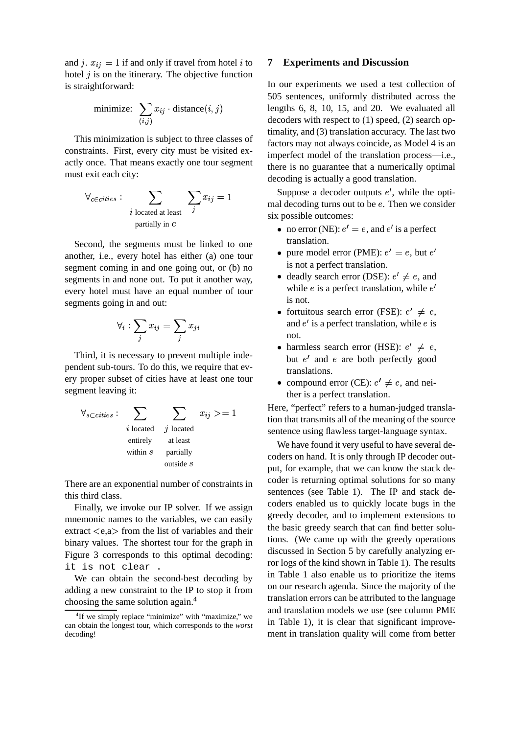and j.  $x_{ij} = 1$  if and only if travel from hotel i to hotel  $\dot{\jmath}$  is on the itinerary. The objective function is straightforward:

minimize: 
$$
\sum_{(i,j)} x_{ij} \cdot \text{distance}(i,j)
$$

This minimization is subject to three classes of constraints. First, every city must be visited exactly once. That means exactly one tour segment must exit each city:

$$
\forall_{c \in cities} : \sum_{i \text{ located at least}} \sum_{j} x_{ij} = 1
$$
  
partially in *c*

Second, the segments must be linked to one another, i.e., every hotel has either (a) one tour segment coming in and one going out, or (b) no segments in and none out. To put it another way, every hotel must have an equal number of tour segments going in and out:

$$
\forall_i : \sum_j x_{ij} = \sum_j x_{ji}
$$
 and  
not.

Third, it is necessary to prevent multiple independent sub-tours. To do this, we require that every proper subset of cities have at least one tour segment leaving it:

$$
\forall_{s \subset cities} : \sum_{i \text{ located}} \sum_{j \text{ located}} x_{ij} \geq 1
$$
  
*i* located  
entirely at least  
within *s* partially  
outside *s*

There are an exponential number of constraints in this third class.

Finally, we invoke our IP solver. If we assign mnemonic names to the variables, we can easily extract  $\langle e.a \rangle$  from the list of variables and their binary values. The shortest tour for the graph in Figure 3 corresponds to this optimal decoding: it is not clear .

We can obtain the second-best decoding by adding a new constraint to the IP to stop it from choosing the same solution again.<sup>4</sup>

### **7 Experiments and Discussion**

In our experiments we used a test collection of 505 sentences, uniformly distributed across the lengths 6, 8, 10, 15, and 20. We evaluated all decoders with respect to (1) speed, (2) search optimality, and (3) translation accuracy. The last two factors may not always coincide, as Model 4 is an imperfect model of the translation process—i.e., there is no guarantee that a numerically optimal decoding is actually a good translation.

 $\sum_i$ <sup>"</sup>, mal decoding turns out to be *e*. Then we consider Suppose a decoder outputs  $e'$ , while the optisix possible outcomes:

- no error (NE):  $e' = e$ , and  $e'$  is a perfect translation.
- pure model error (PME):  $e' = e$ , but  $e'$ is not a perfect translation.
- deadly search error (DSE):  $e' \neq e$ , and while  $e$  is a perfect translation, while  $e'$ is not.
- fortuitous search error (FSE):  $e' \neq e$ , and  $e'$  is a perfect translation, while  $e$  is not.
- harmless search error (HSE):  $e' \neq e$ , but  $e'$  and  $e$  are both perfectly good translations.
- compound error (CE):  $e' \neq e$ , and neither is a perfect translation.

 $\omega$  and  $\omega$  tion that transmits all of the meaning of the source Here, "perfect" refers to a human-judged translasentence using flawless target-language syntax.

> We have found it very useful to have several decoders on hand. It is only through IP decoder output, for example, that we can know the stack decoder is returning optimal solutions for so many sentences (see Table 1). The IP and stack decoders enabled us to quickly locate bugs in the greedy decoder, and to implement extensions to the basic greedy search that can find better solutions. (We came up with the greedy operations discussed in Section 5 by carefully analyzing error logs of the kind shown in Table 1). The results in Table 1 also enable us to prioritize the items on our research agenda. Since the majority of the translation errors can be attributed to the language and translation models we use (see column PME in Table 1), it is clear that significant improvement in translation quality will come from better

<sup>&</sup>lt;sup>4</sup>If we simply replace "minimize" with "maximize," we can obtain the longest tour, which corresponds to the *worst* decoding!